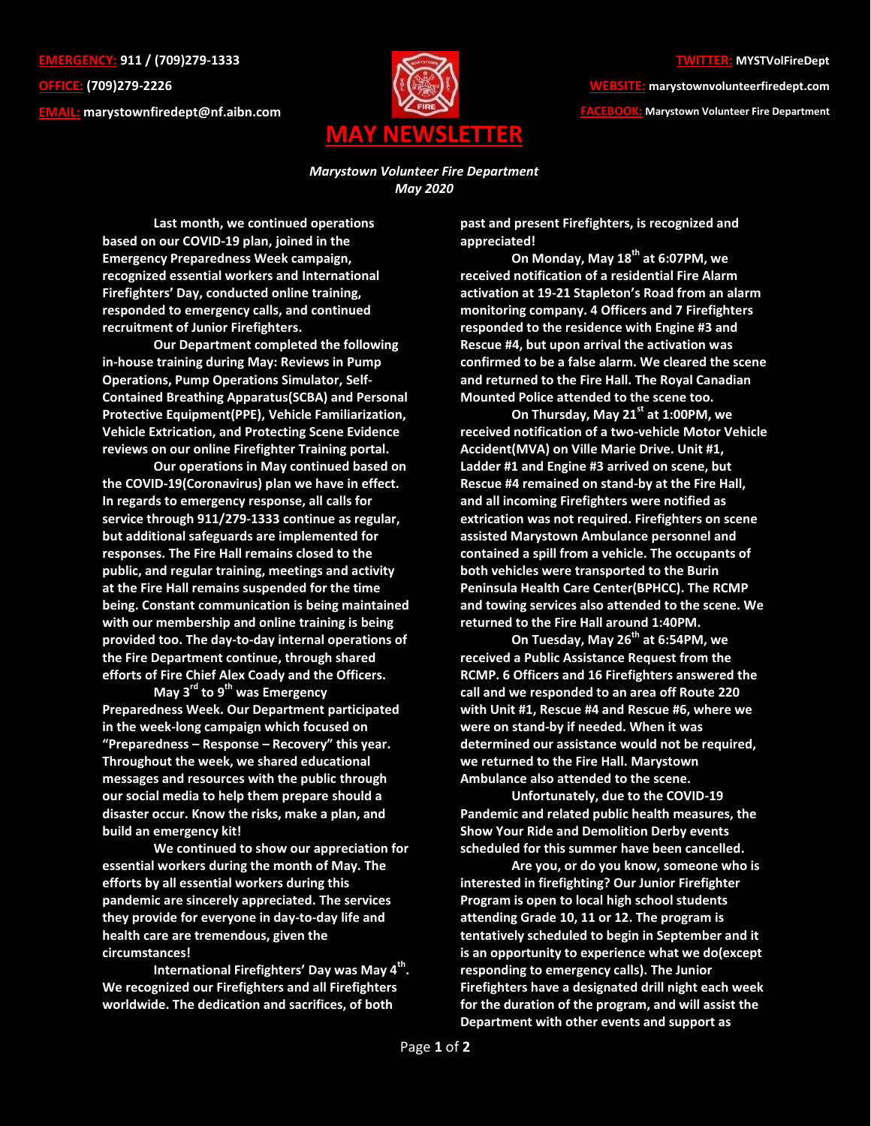**EMERGENCY: 911 / (709)279-1333 OFFICE: (709)279-2226 EMAIL: [marystownfiredept@nf.aibn.com](mailto:marystownfiredept@nf.aibn.com)**



**WEBSITE: marystownvolunteerfiredept.com FACEBOOK: Marystown Volunteer Fire Department**

*Marystown Volunteer Fire Department May 2020*

**Last month, we continued operations based on our COVID-19 plan, joined in the Emergency Preparedness Week campaign, recognized essential workers and International Firefighters' Day, conducted online training, responded to emergency calls, and continued recruitment of Junior Firefighters.**

**Our Department completed the following in-house training during May: Reviews in Pump Operations, Pump Operations Simulator, Self-Contained Breathing Apparatus(SCBA) and Personal Protective Equipment(PPE), Vehicle Familiarization, Vehicle Extrication, and Protecting Scene Evidence reviews on our online Firefighter Training portal.**

**Our operations in May continued based on the COVID-19(Coronavirus) plan we have in effect. In regards to emergency response, all calls for service through 911/279-1333 continue as regular, but additional safeguards are implemented for responses. The Fire Hall remains closed to the public, and regular training, meetings and activity at the Fire Hall remains suspended for the time being. Constant communication is being maintained with our membership and online training is being provided too. The day-to-day internal operations of the Fire Department continue, through shared efforts of Fire Chief Alex Coady and the Officers.** 

**May 3rd to 9th was Emergency Preparedness Week. Our Department participated in the week-long campaign which focused on "Preparedness – Response – Recovery" this year. Throughout the week, we shared educational messages and resources with the public through our social media to help them prepare should a disaster occur. Know the risks, make a plan, and build an emergency kit!**

**We continued to show our appreciation for essential workers during the month of May. The efforts by all essential workers during this pandemic are sincerely appreciated. The services they provide for everyone in day-to-day life and health care are tremendous, given the circumstances!**

**International Firefighters' Day was May 4th . We recognized our Firefighters and all Firefighters worldwide. The dedication and sacrifices, of both** 

**past and present Firefighters, is recognized and appreciated!**

**On Monday, May 18th at 6:07PM, we received notification of a residential Fire Alarm activation at 19-21 Stapleton's Road from an alarm monitoring company. 4 Officers and 7 Firefighters responded to the residence with Engine #3 and Rescue #4, but upon arrival the activation was confirmed to be a false alarm. We cleared the scene and returned to the Fire Hall. The Royal Canadian Mounted Police attended to the scene too.** 

**On Thursday, May 21st at 1:00PM, we received notification of a two-vehicle Motor Vehicle Accident(MVA) on Ville Marie Drive. Unit #1, Ladder #1 and Engine #3 arrived on scene, but Rescue #4 remained on stand-by at the Fire Hall, and all incoming Firefighters were notified as extrication was not required. Firefighters on scene assisted Marystown Ambulance personnel and contained a spill from a vehicle. The occupants of both vehicles were transported to the Burin Peninsula Health Care Center(BPHCC). The RCMP and towing services also attended to the scene. We returned to the Fire Hall around 1:40PM.**

**On Tuesday, May 26 th at 6:54PM, we received a Public Assistance Request from the RCMP. 6 Officers and 16 Firefighters answered the call and we responded to an area off Route 220 with Unit #1, Rescue #4 and Rescue #6, where we were on stand-by if needed. When it was determined our assistance would not be required, we returned to the Fire Hall. Marystown Ambulance also attended to the scene.**

**Unfortunately, due to the COVID-19 Pandemic and related public health measures, the Show Your Ride and Demolition Derby events scheduled for this summer have been cancelled.**

**Are you, or do you know, someone who is interested in firefighting? Our Junior Firefighter Program is open to local high school students attending Grade 10, 11 or 12. The program is tentatively scheduled to begin in September and it is an opportunity to experience what we do(except responding to emergency calls). The Junior Firefighters have a designated drill night each week for the duration of the program, and will assist the Department with other events and support as**